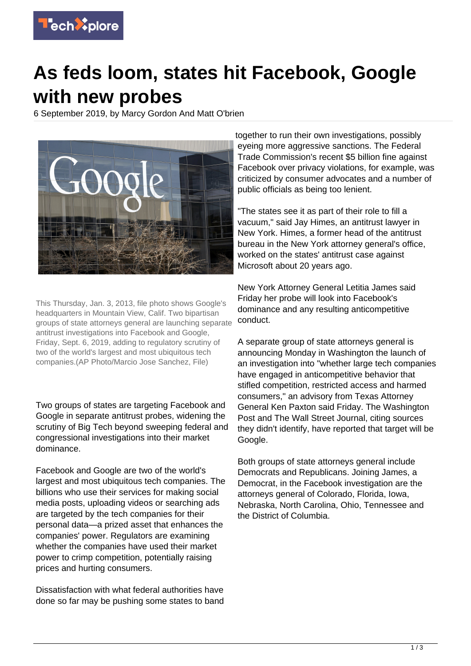

## **As feds loom, states hit Facebook, Google with new probes**

6 September 2019, by Marcy Gordon And Matt O'brien



This Thursday, Jan. 3, 2013, file photo shows Google's headquarters in Mountain View, Calif. Two bipartisan groups of state attorneys general are launching separate antitrust investigations into Facebook and Google, Friday, Sept. 6, 2019, adding to regulatory scrutiny of two of the world's largest and most ubiquitous tech companies.(AP Photo/Marcio Jose Sanchez, File)

Two groups of states are targeting Facebook and Google in separate antitrust probes, widening the scrutiny of Big Tech beyond sweeping federal and congressional investigations into their market dominance.

Facebook and Google are two of the world's largest and most ubiquitous tech companies. The billions who use their services for making social media posts, uploading videos or searching ads are targeted by the tech companies for their personal data—a prized asset that enhances the companies' power. Regulators are examining whether the companies have used their market power to crimp competition, potentially raising prices and hurting consumers.

Dissatisfaction with what federal authorities have done so far may be pushing some states to band together to run their own investigations, possibly eveing more aggressive sanctions. The Federal Trade Commission's recent \$5 billion fine against Facebook over privacy violations, for example, was criticized by consumer advocates and a number of public officials as being too lenient.

"The states see it as part of their role to fill a vacuum," said Jay Himes, an antitrust lawyer in New York. Himes, a former head of the antitrust bureau in the New York attorney general's office, worked on the states' antitrust case against Microsoft about 20 years ago.

New York Attorney General Letitia James said Friday her probe will look into Facebook's dominance and any resulting anticompetitive conduct.

A separate group of state attorneys general is announcing Monday in Washington the launch of an investigation into "whether large tech companies have engaged in anticompetitive behavior that stifled competition, restricted access and harmed consumers," an advisory from Texas Attorney General Ken Paxton said Friday. The Washington Post and The Wall Street Journal, citing sources they didn't identify, have reported that target will be Google.

Both groups of state attorneys general include Democrats and Republicans. Joining James, a Democrat, in the Facebook investigation are the attorneys general of Colorado, Florida, Iowa, Nebraska, North Carolina, Ohio, Tennessee and the District of Columbia.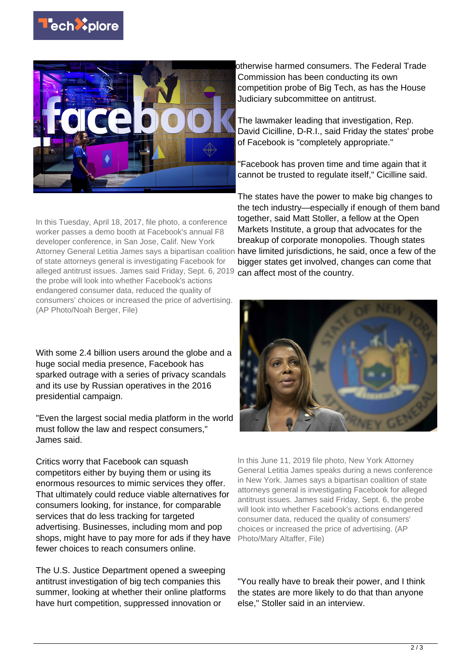



In this Tuesday, April 18, 2017, file photo, a conference worker passes a demo booth at Facebook's annual F8 developer conference, in San Jose, Calif. New York Attorney General Letitia James says a bipartisan coalition of state attorneys general is investigating Facebook for alleged antitrust issues. James said Friday, Sept. 6, 2019 the probe will look into whether Facebook's actions endangered consumer data, reduced the quality of consumers' choices or increased the price of advertising. (AP Photo/Noah Berger, File)

With some 2.4 billion users around the globe and a huge social media presence, Facebook has sparked outrage with a series of privacy scandals and its use by Russian operatives in the 2016 presidential campaign.

"Even the largest social media platform in the world must follow the law and respect consumers," James said.

Critics worry that Facebook can squash competitors either by buying them or using its enormous resources to mimic services they offer. That ultimately could reduce viable alternatives for consumers looking, for instance, for comparable services that do less tracking for targeted advertising. Businesses, including mom and pop shops, might have to pay more for ads if they have fewer choices to reach consumers online.

The U.S. Justice Department opened a sweeping antitrust investigation of big tech companies this summer, looking at whether their online platforms have hurt competition, suppressed innovation or

otherwise harmed consumers. The Federal Trade Commission has been conducting its own competition probe of Big Tech, as has the House Judiciary subcommittee on antitrust.

The lawmaker leading that investigation, Rep. David Cicilline, D-R.I., said Friday the states' probe of Facebook is "completely appropriate."

"Facebook has proven time and time again that it cannot be trusted to regulate itself," Cicilline said.

The states have the power to make big changes to the tech industry—especially if enough of them band together, said Matt Stoller, a fellow at the Open Markets Institute, a group that advocates for the breakup of corporate monopolies. Though states have limited jurisdictions, he said, once a few of the bigger states get involved, changes can come that can affect most of the country.



In this June 11, 2019 file photo, New York Attorney General Letitia James speaks during a news conference in New York. James says a bipartisan coalition of state attorneys general is investigating Facebook for alleged antitrust issues. James said Friday, Sept. 6, the probe will look into whether Facebook's actions endangered consumer data, reduced the quality of consumers' choices or increased the price of advertising. (AP Photo/Mary Altaffer, File)

"You really have to break their power, and I think the states are more likely to do that than anyone else," Stoller said in an interview.